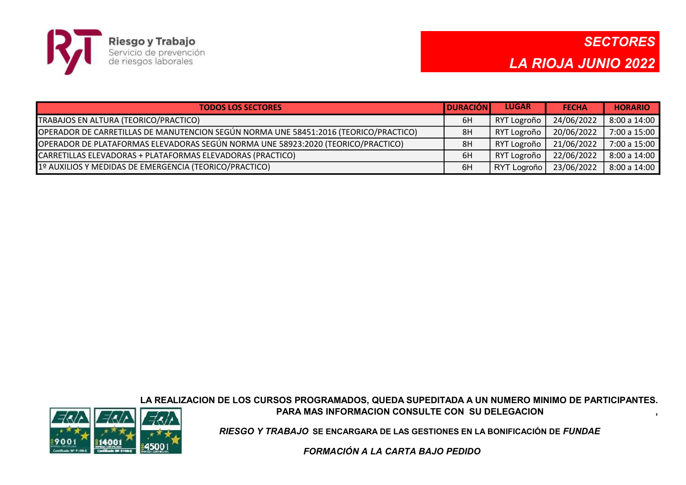

| <b>TODOS LOS SECTORES</b>                                                            | <b>IDURACIÓN I</b> | <b>LUGAR</b> | <b>FECHA</b> | <b>HORARIO</b> |
|--------------------------------------------------------------------------------------|--------------------|--------------|--------------|----------------|
| TRABAJOS EN ALTURA (TEORICO/PRACTICO)                                                | 6H                 | RYT Logroño  | 24/06/2022   | 8:00 a 14:00   |
| OPERADOR DE CARRETILLAS DE MANUTENCION SEGÚN NORMA UNE 58451:2016 (TEORICO/PRACTICO) | 8H                 | RYT Logroño  | 20/06/2022   | 7:00 a 15:00   |
| OPERADOR DE PLATAFORMAS ELEVADORAS SEGÚN NORMA UNE 58923:2020 (TEORICO/PRACTICO)     | 8H                 | RYT Logroño  | 21/06/2022   | 7:00 a 15:00   |
| CARRETILLAS ELEVADORAS + PLATAFORMAS ELEVADORAS (PRACTICO)                           | 6H                 | RYT Logroño  | 22/06/2022   | 8:00 a 14:00   |
| 1º AUXILIOS Y MEDIDAS DE EMERGENCIA (TEORICO/PRACTICO)                               | 6H                 | RYT Logroño  | 23/06/2022   | 8:00 a 14:00   |

LA REALIZACION DE LOS CURSOS PROGRAMADOS, QUEDA SUPEDITADA A UN NUMERO MINIMO DE PARTICIPANTES. PARA MAS INFORMACION CONSULTE CON SU DELEGACION ,



RIESGO Y TRABAJO SE ENCARGARA DE LAS GESTIONES EN LA BONIFICACIÓN DE FUNDAE

FORMACIÓN A LA CARTA BAJO PEDIDO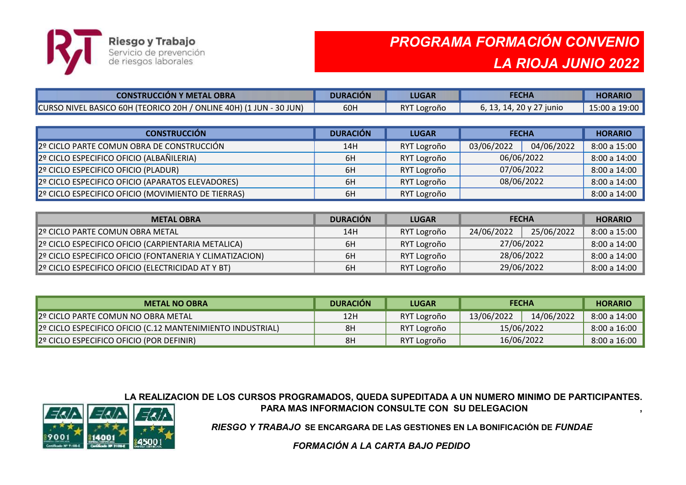

## PROGRAMA FORMACIÓN CONVENIO LA RIOJA JUNIO 2022

| <b>CONSTRUCCION Y METAL OBRA</b>                                   | <b>DURACIÓN</b> | <b>LUGAR</b> | <b>FECHA</b>             | <b>HORARIO</b> |
|--------------------------------------------------------------------|-----------------|--------------|--------------------------|----------------|
| CURSO NIVEL BASICO 60H (TEORICO 20H / ONLINE 40H) (1 JUN - 30 JUN) | 60H             | RYT Logroño  | 6, 13, 14, 20 y 27 junio | 15:00 a 19:00  |

| <b>CONSTRUCCIÓN</b>                                | <b>DURACIÓN</b> | <b>LUGAR</b> | <b>FECHA</b> |            | <b>HORARIO</b> |
|----------------------------------------------------|-----------------|--------------|--------------|------------|----------------|
| 2º CICLO PARTE COMUN OBRA DE CONSTRUCCIÓN          | 14H             | RYT Logroño  | 03/06/2022   | 04/06/2022 | 8:00 a 15:00   |
| 2º CICLO ESPECIFICO OFICIO (ALBAÑILERIA)           | 6H              | RYT Logroño  | 06/06/2022   |            | 8:00 a 14:00   |
| 2º CICLO ESPECIFICO OFICIO (PLADUR)                | 6H              | RYT Logroño  | 07/06/2022   |            | 8:00a14:00     |
| 2º CICLO ESPECIFICO OFICIO (APARATOS ELEVADORES)   | 6H              | RYT Logroño  | 08/06/2022   |            | 8:00 a 14:00   |
| 2º CICLO ESPECIFICO OFICIO (MOVIMIENTO DE TIERRAS) | 6H              | RYT Logroño  |              |            | 8:00 a 14:00   |

| <b>METAL OBRA</b>                                             | <b>DURACIÓN</b> | <b>LUGAR</b> | <b>FECHA</b>             |  | <b>HORARIO</b> |
|---------------------------------------------------------------|-----------------|--------------|--------------------------|--|----------------|
| 2º CICLO PARTE COMUN OBRA METAL                               | 14H             | RYT Logroño  | 25/06/2022<br>24/06/2022 |  | 8:00 a 15:00   |
| 2º CICLO ESPECIFICO OFICIO (CARPIENTARIA METALICA)            | 6H              | RYT Logroño  | 27/06/2022               |  | 8:00 a 14:00   |
| 2º CICLO ESPECIFICO OFICIO (FONTANERIA Y CLIMATIZACION)       | 6H              | RYT Logroño  | 28/06/2022               |  | 8:00 a 14:00   |
| $\parallel$ 2º CICLO ESPECIFICO OFICIO (ELECTRICIDAD AT Y BT) | 6H              | RYT Logroño  | 29/06/2022               |  | 8:00 a 14:00   |

| <b>METAL NO OBRA</b>                                       | <b>DURACION</b> | <b>LUGAR</b> | <b>FECHA</b> |            | <b>HORARIO</b>   |
|------------------------------------------------------------|-----------------|--------------|--------------|------------|------------------|
| 2º CICLO PARTE COMUN NO OBRA METAL                         | 12H             | RYT Logroño  | 13/06/2022   | 14/06/2022 | $8:00$ a $14:00$ |
| 2º CICLO ESPECIFICO OFICIO (C.12 MANTENIMIENTO INDUSTRIAL) | 8H              | RYT Logroño  | 15/06/2022   |            | 8:00 a 16:00     |
| $2o$ CICLO ESPECIFICO OFICIO (POR DEFINIR)                 | 8H              | RYT Logroño  | 16/06/2022   |            | 8:00 a 16:00     |

LA REALIZACION DE LOS CURSOS PROGRAMADOS, QUEDA SUPEDITADA A UN NUMERO MINIMO DE PARTICIPANTES. PARA MAS INFORMACION CONSULTE CON SU DELEGACION



RIESGO Y TRABAJO SE ENCARGARA DE LAS GESTIONES EN LA BONIFICACIÓN DE FUNDAE

FORMACIÓN A LA CARTA BAJO PEDIDO